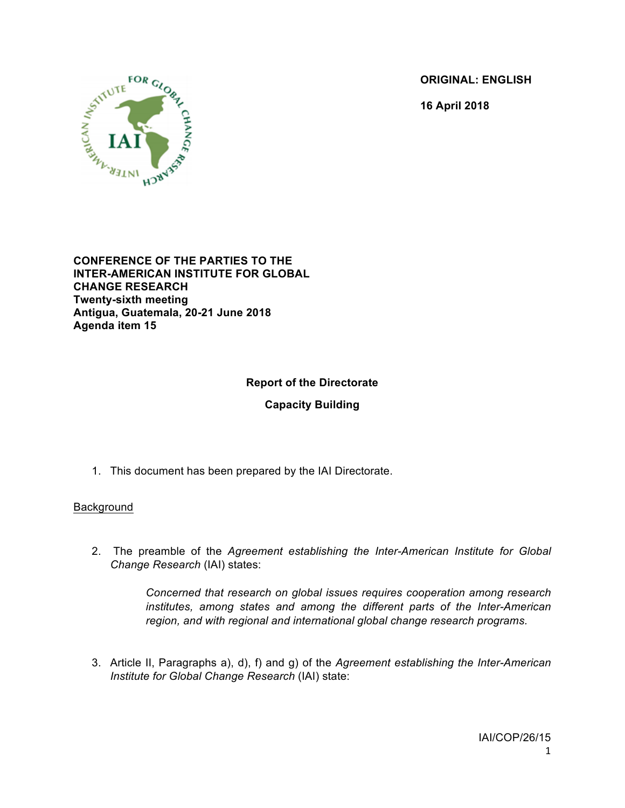**ORIGINAL: ENGLISH**

**16 April 2018**



**CONFERENCE OF THE PARTIES TO THE INTER-AMERICAN INSTITUTE FOR GLOBAL CHANGE RESEARCH Twenty-sixth meeting Antigua, Guatemala, 20-21 June 2018 Agenda item 15**

# **Report of the Directorate**

**Capacity Building**

1. This document has been prepared by the IAI Directorate.

### Background

2. The preamble of the *Agreement establishing the Inter-American Institute for Global Change Research* (IAI) states:

> *Concerned that research on global issues requires cooperation among research institutes, among states and among the different parts of the Inter-American region, and with regional and international global change research programs.*

3. Article II, Paragraphs a), d), f) and g) of the *Agreement establishing the Inter-American Institute for Global Change Research* (IAI) state: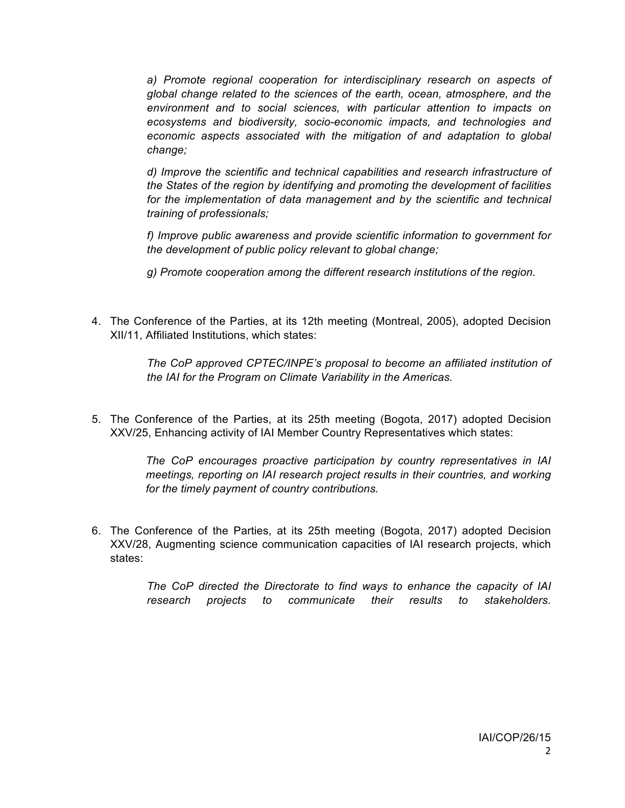a) Promote regional cooperation for interdisciplinary research on aspects of *global change related to the sciences of the earth, ocean, atmosphere, and the environment and to social sciences, with particular attention to impacts on ecosystems and biodiversity, socio-economic impacts, and technologies and economic aspects associated with the mitigation of and adaptation to global change;*

*d) Improve the scientific and technical capabilities and research infrastructure of the States of the region by identifying and promoting the development of facilities*  for the implementation of data management and by the scientific and technical *training of professionals;*

*f) Improve public awareness and provide scientific information to government for the development of public policy relevant to global change;*

*g) Promote cooperation among the different research institutions of the region.*

4. The Conference of the Parties, at its 12th meeting (Montreal, 2005), adopted Decision XII/11, Affiliated Institutions, which states:

> *The CoP approved CPTEC/INPE's proposal to become an affiliated institution of the IAI for the Program on Climate Variability in the Americas.*

5. The Conference of the Parties, at its 25th meeting (Bogota, 2017) adopted Decision XXV/25, Enhancing activity of IAI Member Country Representatives which states:

> *The CoP encourages proactive participation by country representatives in IAI meetings, reporting on IAI research project results in their countries, and working for the timely payment of country contributions.*

6. The Conference of the Parties, at its 25th meeting (Bogota, 2017) adopted Decision XXV/28, Augmenting science communication capacities of IAI research projects, which states:

> *The CoP directed the Directorate to find ways to enhance the capacity of IAI research projects to communicate their results to stakeholders.*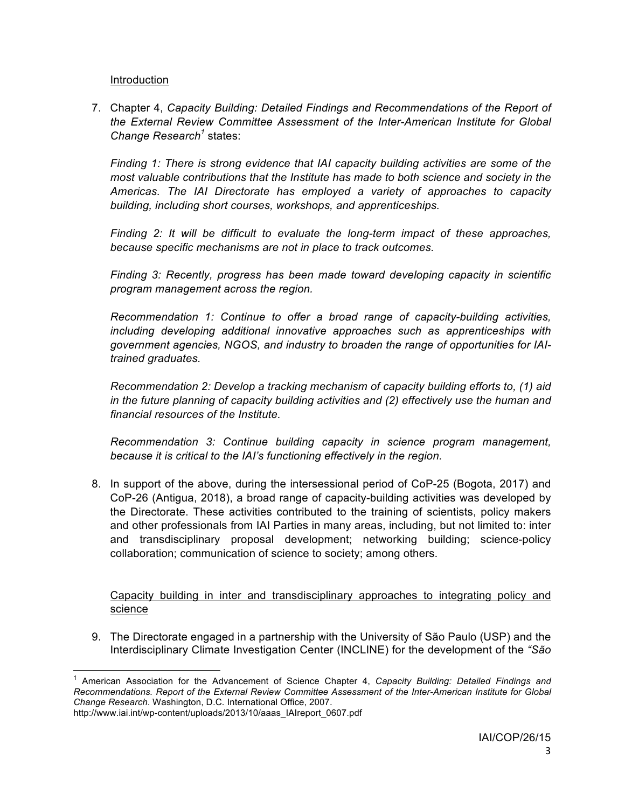Introduction

7. Chapter 4, *Capacity Building: Detailed Findings and Recommendations of the Report of the External Review Committee Assessment of the Inter-American Institute for Global Change Research<sup>1</sup> states:* 

*Finding 1: There is strong evidence that IAI capacity building activities are some of the most valuable contributions that the Institute has made to both science and society in the Americas. The IAI Directorate has employed a variety of approaches to capacity building, including short courses, workshops, and apprenticeships.* 

*Finding 2: It will be difficult to evaluate the long-term impact of these approaches, because specific mechanisms are not in place to track outcomes.*

*Finding 3: Recently, progress has been made toward developing capacity in scientific program management across the region.* 

*Recommendation 1: Continue to offer a broad range of capacity-building activities, including developing additional innovative approaches such as apprenticeships with government agencies, NGOS, and industry to broaden the range of opportunities for IAItrained graduates.* 

*Recommendation 2: Develop a tracking mechanism of capacity building efforts to, (1) aid in the future planning of capacity building activities and (2) effectively use the human and financial resources of the Institute.*

*Recommendation 3: Continue building capacity in science program management, because it is critical to the IAI's functioning effectively in the region.* 

8. In support of the above, during the intersessional period of CoP-25 (Bogota, 2017) and CoP-26 (Antigua, 2018), a broad range of capacity-building activities was developed by the Directorate. These activities contributed to the training of scientists, policy makers and other professionals from IAI Parties in many areas, including, but not limited to: inter and transdisciplinary proposal development; networking building; science-policy collaboration; communication of science to society; among others.

Capacity building in inter and transdisciplinary approaches to integrating policy and science

9. The Directorate engaged in a partnership with the University of São Paulo (USP) and the Interdisciplinary Climate Investigation Center (INCLINE) for the development of the *"São* 

 <sup>1</sup> American Association for the Advancement of Science Chapter 4, *Capacity Building: Detailed Findings and Recommendations. Report of the External Review Committee Assessment of the Inter-American Institute for Global Change Research*. Washington, D.C*.* International Office, 2007.

http://www.iai.int/wp-content/uploads/2013/10/aaas\_IAIreport\_0607.pdf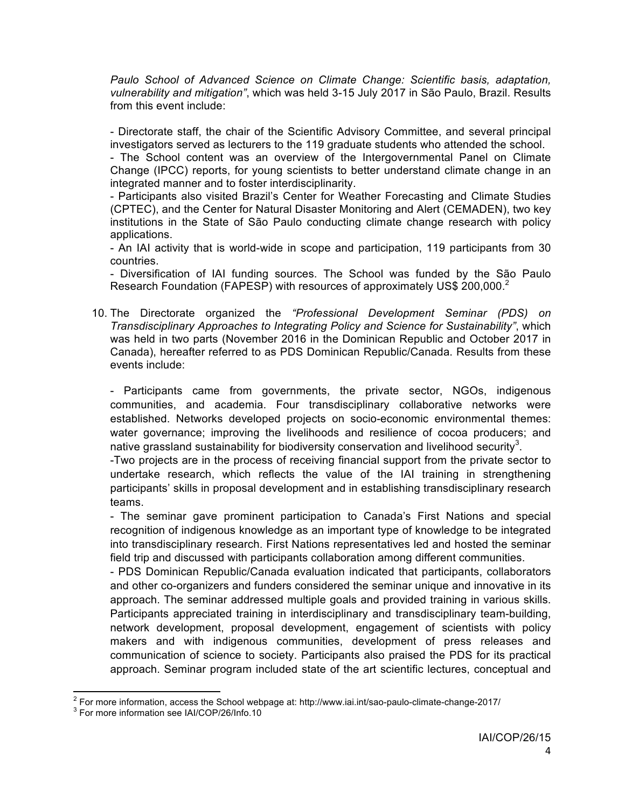*Paulo School of Advanced Science on Climate Change: Scientific basis, adaptation, vulnerability and mitigation"*, which was held 3-15 July 2017 in São Paulo, Brazil. Results from this event include:

- Directorate staff, the chair of the Scientific Advisory Committee, and several principal investigators served as lecturers to the 119 graduate students who attended the school.

- The School content was an overview of the Intergovernmental Panel on Climate Change (IPCC) reports, for young scientists to better understand climate change in an integrated manner and to foster interdisciplinarity.

- Participants also visited Brazil's Center for Weather Forecasting and Climate Studies (CPTEC), and the Center for Natural Disaster Monitoring and Alert (CEMADEN), two key institutions in the State of São Paulo conducting climate change research with policy applications.

- An IAI activity that is world-wide in scope and participation, 119 participants from 30 countries.

- Diversification of IAI funding sources. The School was funded by the São Paulo Research Foundation (FAPESP) with resources of approximately US\$ 200,000.<sup>2</sup>

10. The Directorate organized the *"Professional Development Seminar (PDS) on Transdisciplinary Approaches to Integrating Policy and Science for Sustainability"*, which was held in two parts (November 2016 in the Dominican Republic and October 2017 in Canada), hereafter referred to as PDS Dominican Republic/Canada. Results from these events include:

- Participants came from governments, the private sector, NGOs, indigenous communities, and academia. Four transdisciplinary collaborative networks were established. Networks developed projects on socio-economic environmental themes: water governance; improving the livelihoods and resilience of cocoa producers; and native grassland sustainability for biodiversity conservation and livelihood security<sup>3</sup>.

-Two projects are in the process of receiving financial support from the private sector to undertake research, which reflects the value of the IAI training in strengthening participants' skills in proposal development and in establishing transdisciplinary research teams.

- The seminar gave prominent participation to Canada's First Nations and special recognition of indigenous knowledge as an important type of knowledge to be integrated into transdisciplinary research. First Nations representatives led and hosted the seminar field trip and discussed with participants collaboration among different communities.

- PDS Dominican Republic/Canada evaluation indicated that participants, collaborators and other co-organizers and funders considered the seminar unique and innovative in its approach. The seminar addressed multiple goals and provided training in various skills. Participants appreciated training in interdisciplinary and transdisciplinary team-building, network development, proposal development, engagement of scientists with policy makers and with indigenous communities, development of press releases and communication of science to society. Participants also praised the PDS for its practical approach. Seminar program included state of the art scientific lectures, conceptual and

 $^2$  For more information, access the School webpage at: http://www.iai.int/sao-paulo-climate-change-2017/  $^3$  For more information see IAI/COP/26/Info.10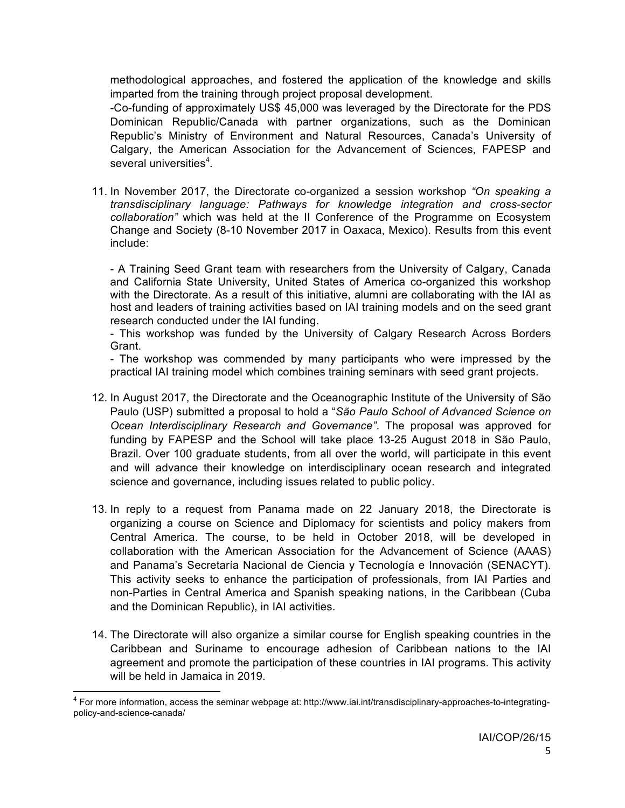methodological approaches, and fostered the application of the knowledge and skills imparted from the training through project proposal development.

-Co-funding of approximately US\$ 45,000 was leveraged by the Directorate for the PDS Dominican Republic/Canada with partner organizations, such as the Dominican Republic's Ministry of Environment and Natural Resources, Canada's University of Calgary, the American Association for the Advancement of Sciences, FAPESP and several universities<sup>4</sup>.

11. In November 2017, the Directorate co-organized a session workshop *"On speaking a transdisciplinary language: Pathways for knowledge integration and cross-sector collaboration"* which was held at the II Conference of the Programme on Ecosystem Change and Society (8-10 November 2017 in Oaxaca, Mexico). Results from this event include:

- A Training Seed Grant team with researchers from the University of Calgary, Canada and California State University, United States of America co-organized this workshop with the Directorate. As a result of this initiative, alumni are collaborating with the IAI as host and leaders of training activities based on IAI training models and on the seed grant research conducted under the IAI funding.

- This workshop was funded by the University of Calgary Research Across Borders Grant.

- The workshop was commended by many participants who were impressed by the practical IAI training model which combines training seminars with seed grant projects.

- 12. In August 2017, the Directorate and the Oceanographic Institute of the University of São Paulo (USP) submitted a proposal to hold a "*São Paulo School of Advanced Science on Ocean Interdisciplinary Research and Governance"*. The proposal was approved for funding by FAPESP and the School will take place 13-25 August 2018 in São Paulo, Brazil. Over 100 graduate students, from all over the world, will participate in this event and will advance their knowledge on interdisciplinary ocean research and integrated science and governance, including issues related to public policy.
- 13. In reply to a request from Panama made on 22 January 2018, the Directorate is organizing a course on Science and Diplomacy for scientists and policy makers from Central America. The course, to be held in October 2018, will be developed in collaboration with the American Association for the Advancement of Science (AAAS) and Panama's Secretaría Nacional de Ciencia y Tecnología e Innovación (SENACYT). This activity seeks to enhance the participation of professionals, from IAI Parties and non-Parties in Central America and Spanish speaking nations, in the Caribbean (Cuba and the Dominican Republic), in IAI activities.
- 14. The Directorate will also organize a similar course for English speaking countries in the Caribbean and Suriname to encourage adhesion of Caribbean nations to the IAI agreement and promote the participation of these countries in IAI programs. This activity will be held in Jamaica in 2019.

 $4$  For more information, access the seminar webpage at: http://www.iai.int/transdisciplinary-approaches-to-integratingpolicy-and-science-canada/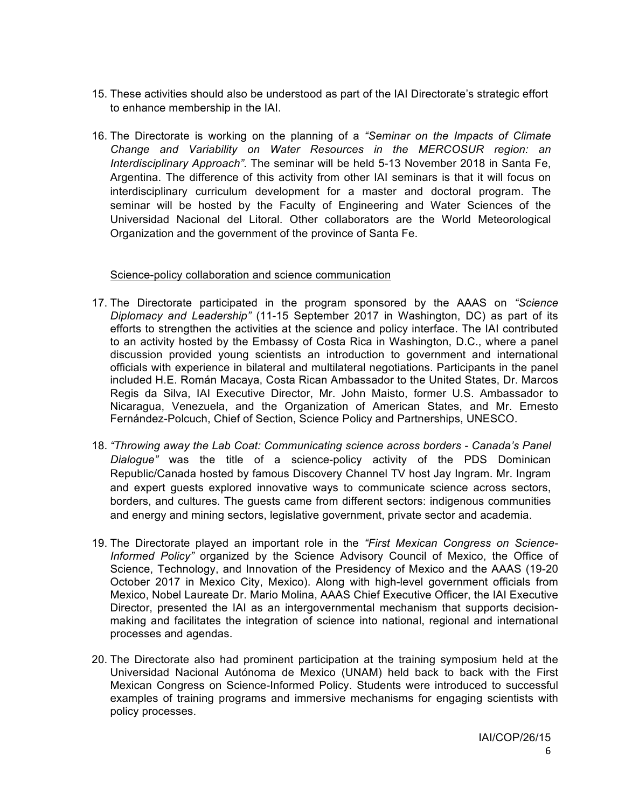- 15. These activities should also be understood as part of the IAI Directorate's strategic effort to enhance membership in the IAI.
- 16. The Directorate is working on the planning of a *"Seminar on the Impacts of Climate Change and Variability on Water Resources in the MERCOSUR region: an Interdisciplinary Approach"*. The seminar will be held 5-13 November 2018 in Santa Fe, Argentina. The difference of this activity from other IAI seminars is that it will focus on interdisciplinary curriculum development for a master and doctoral program. The seminar will be hosted by the Faculty of Engineering and Water Sciences of the Universidad Nacional del Litoral. Other collaborators are the World Meteorological Organization and the government of the province of Santa Fe.

### Science-policy collaboration and science communication

- 17. The Directorate participated in the program sponsored by the AAAS on *"Science Diplomacy and Leadership"* (11-15 September 2017 in Washington, DC) as part of its efforts to strengthen the activities at the science and policy interface. The IAI contributed to an activity hosted by the Embassy of Costa Rica in Washington, D.C., where a panel discussion provided young scientists an introduction to government and international officials with experience in bilateral and multilateral negotiations. Participants in the panel included H.E. Román Macaya, Costa Rican Ambassador to the United States, Dr. Marcos Regis da Silva, IAI Executive Director, Mr. John Maisto, former U.S. Ambassador to Nicaragua, Venezuela, and the Organization of American States, and Mr. Ernesto Fernández-Polcuch, Chief of Section, Science Policy and Partnerships, UNESCO.
- 18. *"Throwing away the Lab Coat: Communicating science across borders - Canada's Panel Dialogue"* was the title of a science-policy activity of the PDS Dominican Republic/Canada hosted by famous Discovery Channel TV host Jay Ingram. Mr. Ingram and expert guests explored innovative ways to communicate science across sectors, borders, and cultures. The guests came from different sectors: indigenous communities and energy and mining sectors, legislative government, private sector and academia.
- 19. The Directorate played an important role in the *"First Mexican Congress on Science-Informed Policy"* organized by the Science Advisory Council of Mexico, the Office of Science, Technology, and Innovation of the Presidency of Mexico and the AAAS (19-20 October 2017 in Mexico City, Mexico). Along with high-level government officials from Mexico, Nobel Laureate Dr. Mario Molina, AAAS Chief Executive Officer, the IAI Executive Director, presented the IAI as an intergovernmental mechanism that supports decisionmaking and facilitates the integration of science into national, regional and international processes and agendas.
- 20. The Directorate also had prominent participation at the training symposium held at the Universidad Nacional Autónoma de Mexico (UNAM) held back to back with the First Mexican Congress on Science-Informed Policy. Students were introduced to successful examples of training programs and immersive mechanisms for engaging scientists with policy processes.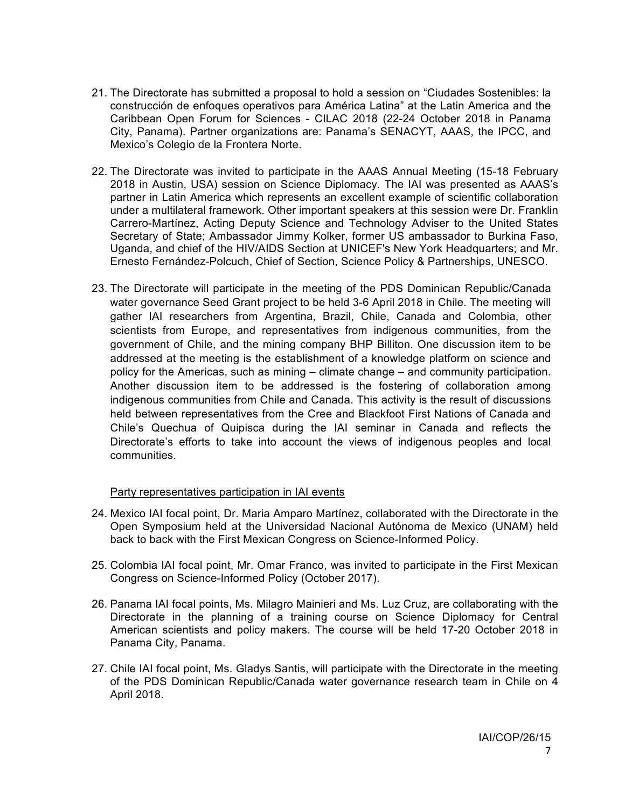- 21. The Directorate has submitted a proposal to hold a session on "Ciudades Sostenibles: la construcción de enfoques operativos para América Latina" at the Latin America and the Caribbean Open Forum for Sciences - CILAC 2018 (22-24 October 2018 in Panama City, Panama). Partner organizations are: Panama's SENACYT, AAAS, the IPCC, and Mexico's Colegio de la Frontera Norte.
- 22. The Directorate was invited to participate in the AAAS Annual Meeting (15-18 February 2018 in Austin, USA) session on Science Diplomacy. The IAI was presented as AAAS's partner in Latin America which represents an excellent example of scientific collaboration under a multilateral framework. Other important speakers at this session were Dr. Franklin Carrero-Martínez, Acting Deputy Science and Technology Adviser to the United States Secretary of State; Ambassador Jimmy Kolker, former US ambassador to Burkina Faso, Uganda, and chief of the HIV/AIDS Section at UNICEF's New York Headquarters; and Mr. Ernesto Fernández-Polcuch, Chief of Section, Science Policy & Partnerships, UNESCO.
- 23. The Directorate will participate in the meeting of the PDS Dominican Republic/Canada water governance Seed Grant project to be held 3-6 April 2018 in Chile. The meeting will gather IAI researchers from Argentina, Brazil, Chile, Canada and Colombia, other scientists from Europe, and representatives from indigenous communities, from the government of Chile, and the mining company BHP Billiton. One discussion item to be addressed at the meeting is the establishment of a knowledge platform on science and policy for the Americas, such as mining – climate change – and community participation. Another discussion item to be addressed is the fostering of collaboration among indigenous communities from Chile and Canada. This activity is the result of discussions held between representatives from the Cree and Blackfoot First Nations of Canada and Chile's Quechua of Quipisca during the IAI seminar in Canada and reflects the Directorate's efforts to take into account the views of indigenous peoples and local communities.

### Party representatives participation in IAI events

- 24. Mexico IAI focal point, Dr. Maria Amparo Martínez, collaborated with the Directorate in the Open Symposium held at the Universidad Nacional Autónoma de Mexico (UNAM) held back to back with the First Mexican Congress on Science-Informed Policy.
- 25. Colombia IAI focal point, Mr. Omar Franco, was invited to participate in the First Mexican Congress on Science-Informed Policy (October 2017).
- 26. Panama IAI focal points, Ms. Milagro Mainieri and Ms. Luz Cruz, are collaborating with the Directorate in the planning of a training course on Science Diplomacy for Central American scientists and policy makers. The course will be held 17-20 October 2018 in Panama City, Panama.
- 27. Chile IAI focal point, Ms. Gladys Santis, will participate with the Directorate in the meeting of the PDS Dominican Republic/Canada water governance research team in Chile on 4 April 2018.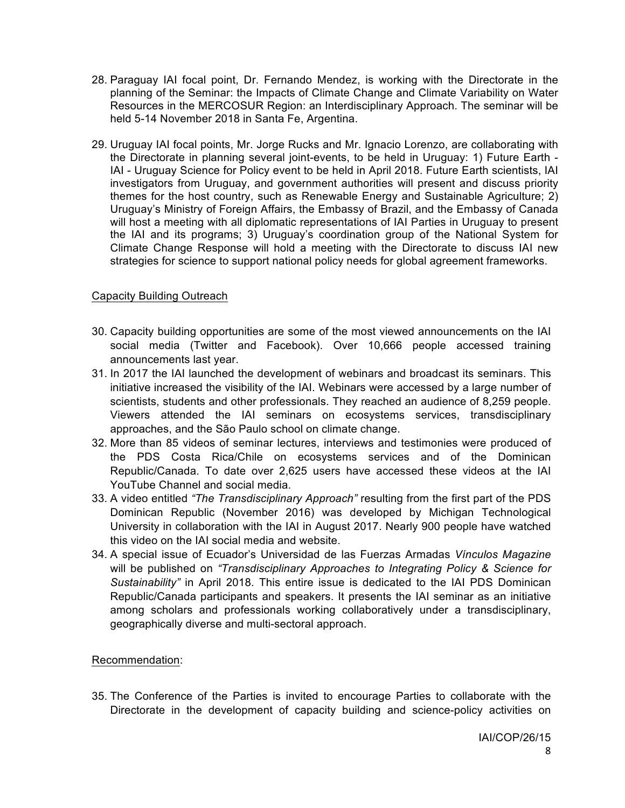- 28. Paraguay IAI focal point, Dr. Fernando Mendez, is working with the Directorate in the planning of the Seminar: the Impacts of Climate Change and Climate Variability on Water Resources in the MERCOSUR Region: an Interdisciplinary Approach. The seminar will be held 5-14 November 2018 in Santa Fe, Argentina.
- 29. Uruguay IAI focal points, Mr. Jorge Rucks and Mr. Ignacio Lorenzo, are collaborating with the Directorate in planning several joint-events, to be held in Uruguay: 1) Future Earth - IAI - Uruguay Science for Policy event to be held in April 2018. Future Earth scientists, IAI investigators from Uruguay, and government authorities will present and discuss priority themes for the host country, such as Renewable Energy and Sustainable Agriculture; 2) Uruguay's Ministry of Foreign Affairs, the Embassy of Brazil, and the Embassy of Canada will host a meeting with all diplomatic representations of IAI Parties in Uruguay to present the IAI and its programs; 3) Uruguay's coordination group of the National System for Climate Change Response will hold a meeting with the Directorate to discuss IAI new strategies for science to support national policy needs for global agreement frameworks.

### Capacity Building Outreach

- 30. Capacity building opportunities are some of the most viewed announcements on the IAI social media (Twitter and Facebook). Over 10,666 people accessed training announcements last year.
- 31. In 2017 the IAI launched the development of webinars and broadcast its seminars. This initiative increased the visibility of the IAI. Webinars were accessed by a large number of scientists, students and other professionals. They reached an audience of 8,259 people. Viewers attended the IAI seminars on ecosystems services, transdisciplinary approaches, and the São Paulo school on climate change.
- 32. More than 85 videos of seminar lectures, interviews and testimonies were produced of the PDS Costa Rica/Chile on ecosystems services and of the Dominican Republic/Canada. To date over 2,625 users have accessed these videos at the IAI YouTube Channel and social media.
- 33. A video entitled *"The Transdisciplinary Approach"* resulting from the first part of the PDS Dominican Republic (November 2016) was developed by Michigan Technological University in collaboration with the IAI in August 2017. Nearly 900 people have watched this video on the IAI social media and website.
- 34. A special issue of Ecuador's Universidad de las Fuerzas Armadas *Vínculos Magazine* will be published on *"Transdisciplinary Approaches to Integrating Policy & Science for Sustainability"* in April 2018. This entire issue is dedicated to the IAI PDS Dominican Republic/Canada participants and speakers. It presents the IAI seminar as an initiative among scholars and professionals working collaboratively under a transdisciplinary, geographically diverse and multi-sectoral approach.

### Recommendation:

35. The Conference of the Parties is invited to encourage Parties to collaborate with the Directorate in the development of capacity building and science-policy activities on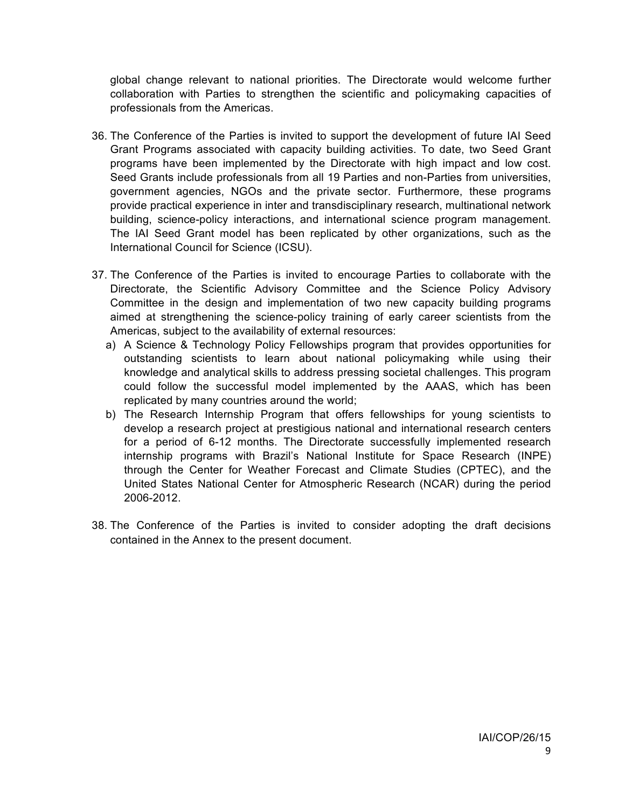global change relevant to national priorities. The Directorate would welcome further collaboration with Parties to strengthen the scientific and policymaking capacities of professionals from the Americas.

- 36. The Conference of the Parties is invited to support the development of future IAI Seed Grant Programs associated with capacity building activities. To date, two Seed Grant programs have been implemented by the Directorate with high impact and low cost. Seed Grants include professionals from all 19 Parties and non-Parties from universities, government agencies, NGOs and the private sector. Furthermore, these programs provide practical experience in inter and transdisciplinary research, multinational network building, science-policy interactions, and international science program management. The IAI Seed Grant model has been replicated by other organizations, such as the International Council for Science (ICSU).
- 37. The Conference of the Parties is invited to encourage Parties to collaborate with the Directorate, the Scientific Advisory Committee and the Science Policy Advisory Committee in the design and implementation of two new capacity building programs aimed at strengthening the science-policy training of early career scientists from the Americas, subject to the availability of external resources:
	- a) A Science & Technology Policy Fellowships program that provides opportunities for outstanding scientists to learn about national policymaking while using their knowledge and analytical skills to address pressing societal challenges. This program could follow the successful model implemented by the AAAS, which has been replicated by many countries around the world;
	- b) The Research Internship Program that offers fellowships for young scientists to develop a research project at prestigious national and international research centers for a period of 6-12 months. The Directorate successfully implemented research internship programs with Brazil's National Institute for Space Research (INPE) through the Center for Weather Forecast and Climate Studies (CPTEC), and the United States National Center for Atmospheric Research (NCAR) during the period 2006-2012.
- 38. The Conference of the Parties is invited to consider adopting the draft decisions contained in the Annex to the present document.